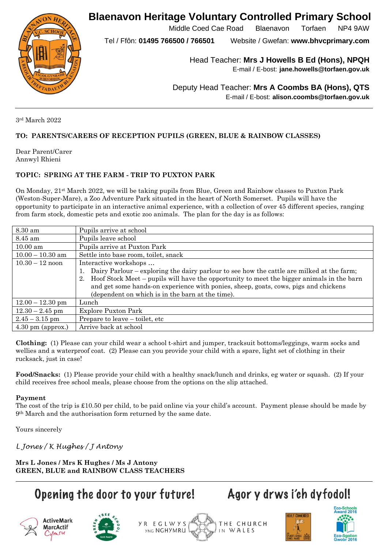**Blaenavon Heritage Voluntary Controlled Primary School**



Middle Coed Cae Road Blaenavon Torfaen NP4 9AW

Tel / Ffôn: **01495 766500 / 766501** Website / Gwefan: **www.bhvcprimary.com**

Head Teacher: **Mrs J Howells B Ed (Hons), NPQH**

E-mail / E-bost: **jane.howells@torfaen.gov.uk**

Deputy Head Teacher: **Mrs A Coombs BA (Hons), QTS** E-mail / E-bost: **alison.coombs@torfaen.gov.uk**

3rd March 2022

### **TO: PARENTS/CARERS OF RECEPTION PUPILS (GREEN, BLUE & RAINBOW CLASSES)**

Dear Parent/Carer Annwyl Rhieni

### **TOPIC: SPRING AT THE FARM - TRIP TO PUXTON PARK**

On Monday, 21st March 2022, we will be taking pupils from Blue, Green and Rainbow classes to Puxton Park (Weston-Super-Mare), a Zoo Adventure Park situated in the heart of North Somerset. Pupils will have the opportunity to participate in an interactive animal experience, with a collection of over 45 different species, ranging from farm stock, domestic pets and exotic zoo animals. The plan for the day is as follows:

| 8.30 am                     | Pupils arrive at school                                                                      |
|-----------------------------|----------------------------------------------------------------------------------------------|
| 8.45 am                     | Pupils leave school                                                                          |
| $10.00$ am                  | Pupils arrive at Puxton Park                                                                 |
| $10.00 - 10.30$ am          | Settle into base room, toilet, snack                                                         |
| $10.30 - 12$ noon           | Interactive workshops                                                                        |
|                             | Dairy Parlour – exploring the dairy parlour to see how the cattle are milked at the farm;    |
|                             | 2. Hoof Stock Meet – pupils will have the opportunity to meet the bigger animals in the barn |
|                             | and get some hands-on experience with ponies, sheep, goats, cows, pigs and chickens          |
|                             | (dependent on which is in the barn at the time).                                             |
| $12.00 - 12.30$ pm          | Lunch                                                                                        |
| $12.30 - 2.45$ pm           | Explore Puxton Park                                                                          |
| $2.45 - 3.15$ pm            | Prepare to leave – toilet, etc                                                               |
| $4.30 \text{ pm}$ (approx.) | Arrive back at school                                                                        |

**Clothing:** (1) Please can your child wear a school t-shirt and jumper, tracksuit bottoms/leggings, warm socks and wellies and a waterproof coat. (2) Please can you provide your child with a spare, light set of clothing in their rucksack, just in case!

**Food/Snacks:** (1) Please provide your child with a healthy snack/lunch and drinks, eg water or squash. (2) If your child receives free school meals, please choose from the options on the slip attached.

#### **Payment**

The cost of the trip is £10.50 per child, to be paid online via your child's account. Payment please should be made by 9th March and the authorisation form returned by the same date.

Yours sincerely

*L Jones / K Hughes / J Antony*

**Mrs L Jones / Mrs K Hughes / Ms J Antony GREEN, BLUE and RAINBOW CLASS TEACHERS**

## Opening the door to your future!



MarcActif

Cumru







Agor y drws i'ch dyfodol!